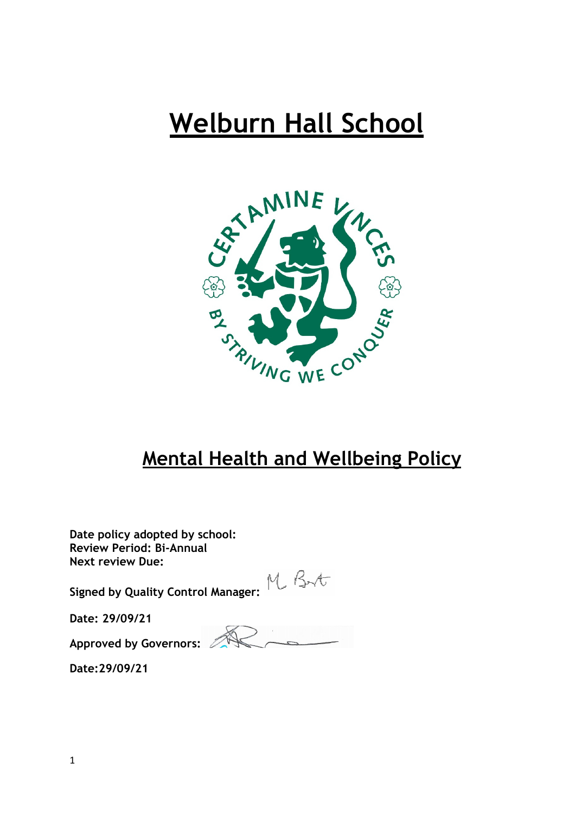# **Welburn Hall School**



# **Mental Health and Wellbeing Policy**

**Date policy adopted by school: Review Period: Bi-Annual Annual Next review Due:** 

**Signed by Quality Control Manager:**  $M_{\ast} \beta_{\ast}$ 

**Date: 29/09/21** 

**Approved by Governors:**

**Date:29/09/21**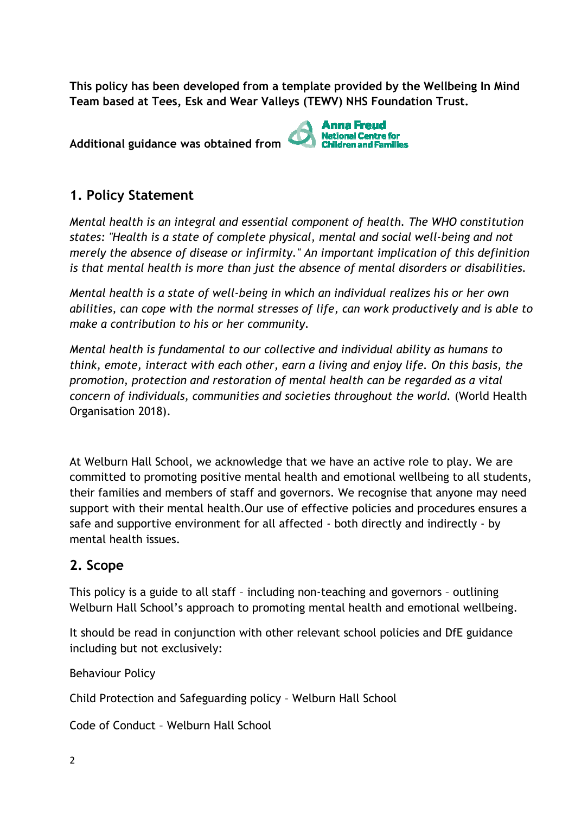**This policy has been developed from a template provided by the Wellbeing In Mind Team based at Tees, Esk and Wear Valleys (TEWV) NHS Foundation Trust.**

**Additional guidance was obtained from** 



# **1. Policy Statement**

*Mental health is an integral and essential component of health. The WHO constitution states: "Health is a state of complete physical, mental and social well well-being and not merely the absence of disease or infirmity." An important implication of this definition*  is that mental health is more than just the absence of mental disorders or disabilities.

*Mental health is a state of well well-being in which an individual realizes his or her own being abilities, can cope with the normal stresses of life, can work productively and is able to*  make a contribution to his or her community.

*Mental health is fundamental to our collective and individual ability as humans to think, emote, interact with each other, earn a living and enjoy life. On this basis, the promotion, protection and restoration of mental health can be regarded as a vital*  concern of individuals, communities and societies throughout the world. (World Health Organisation 2018).

At Welburn Hall School, we acknowledge that we have an active role to play. We are committed to promoting positive mental health and emotional wellbeing to all students, their families and members of staff and governors. We recognise that anyone may need support with their mental health.Our use of effective policies and procedures ensure ensures a safe and supportive environment for all affected - both directly and indirectly - by mental health issues.

# **2. Scope**

This policy is a guide to all staff - including non-teaching and governors - outlining Welburn Hall School's approach to promoting mental health and emotional wellbeing.

It should be read in conjunction with other relevant school policies policies and DfE guidance including but not exclusively:

Behaviour Policy

Child Protection and Safeguarding policy – Welburn Hall School

Code of Conduct – Welburn Hall School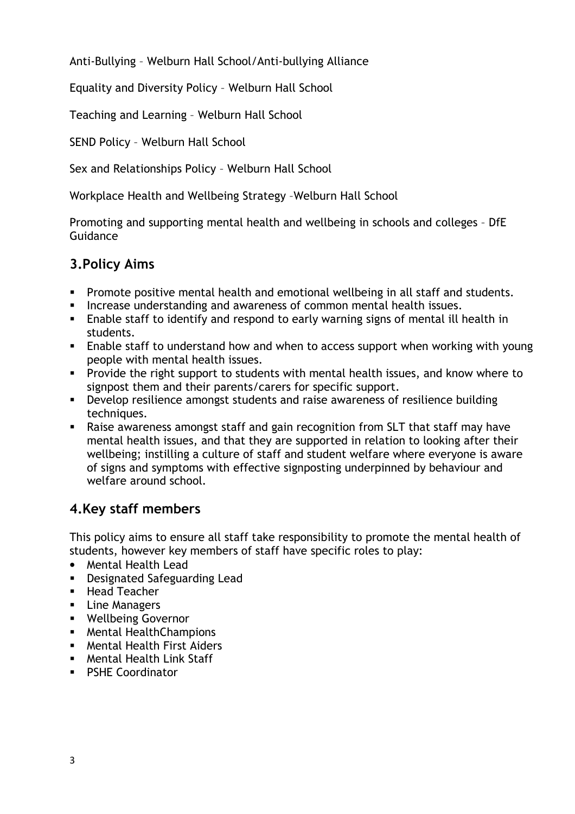Anti-Bullying – Welburn Hall School/Anti-bullying Alliance

Equality and Diversity Policy – Welburn Hall School

Teaching and Learning – Welburn Hall School

SEND Policy – Welburn Hall School

Sex and Relationships Policy – Welburn Hall School

Workplace Health and Wellbeing Strategy –Welburn Hall School

Promoting and supporting mental health and wellbeing in schools and colleges – DfE Guidance

# **3.Policy Aims**

- Promote positive mental health and emotional wellbeing in all staff and students.
- **Increase understanding and awareness of common mental health issues.**
- Enable staff to identify and respond to early warning signs of mental ill health in students.
- Enable staff to understand how and when to access support when working with young people with mental health issues.
- **Provide the right support to students with mental health issues, and know where to** signpost them and their parents/carers for specific support.
- Develop resilience amongst students and raise awareness of resilience building techniques.
- Raise awareness amongst staff and gain recognition from SLT that staff may have mental health issues, and that they are supported in relation to looking after their wellbeing; instilling a culture of staff and student welfare where everyone is aware of signs and symptoms with effective signposting underpinned by behaviour and welfare around school.

# **4.Key staff members**

This policy aims to ensure all staff take responsibility to promote the mental health of students, however key members of staff have specific roles to play:

- Mental Health Lead
- Designated Safeguarding Lead
- **Head Teacher**
- **Line Managers**
- **Wellbeing Governor**
- Mental HealthChampions
- **Mental Health First Aiders**
- Mental Health Link Staff
- **PSHE Coordinator**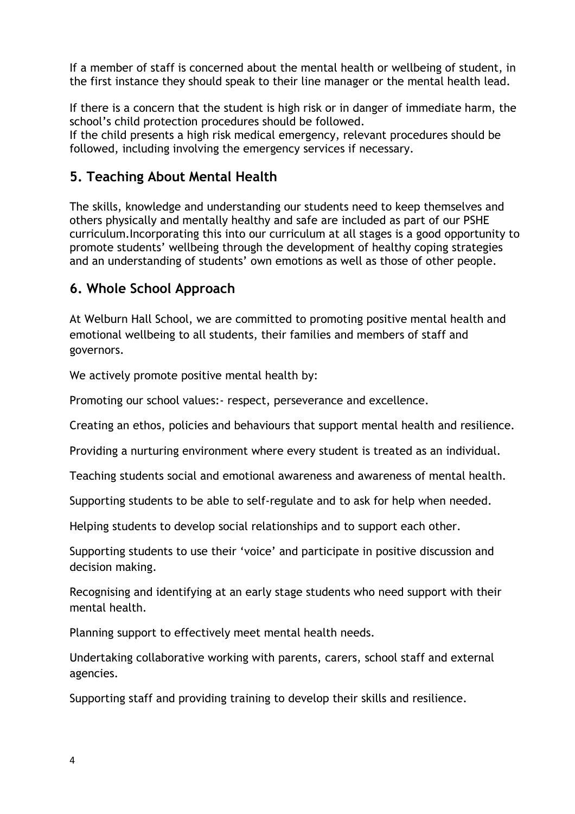If a member of staff is concerned about the mental health or wellbeing of student, in the first instance they should speak to their line manager or the mental health lead.

If there is a concern that the student is high risk or in danger of immediate harm, the school's child protection procedures should be followed.

If the child presents a high risk medical emergency, relevant procedures should be followed, including involving the emergency services if necessary.

# **5. Teaching About Mental Health**

The skills, knowledge and understanding our students need to keep themselves and others physically and mentally healthy and safe are included as part of our PSHE curriculum.Incorporating this into our curriculum at all stages is a good opportunity to promote students' wellbeing through the development of healthy coping strategies and an understanding of students' own emotions as well as those of other people.

# **6. Whole School Approach**

At Welburn Hall School, we are committed to promoting positive mental health and emotional wellbeing to all students, their families and members of staff and governors.

We actively promote positive mental health by:

Promoting our school values:- respect, perseverance and excellence.

Creating an ethos, policies and behaviours that support mental health and resilience.

Providing a nurturing environment where every student is treated as an individual.

Teaching students social and emotional awareness and awareness of mental health.

Supporting students to be able to self-regulate and to ask for help when needed.

Helping students to develop social relationships and to support each other.

Supporting students to use their 'voice' and participate in positive discussion and decision making.

Recognising and identifying at an early stage students who need support with their mental health.

Planning support to effectively meet mental health needs.

Undertaking collaborative working with parents, carers, school staff and external agencies.

Supporting staff and providing training to develop their skills and resilience.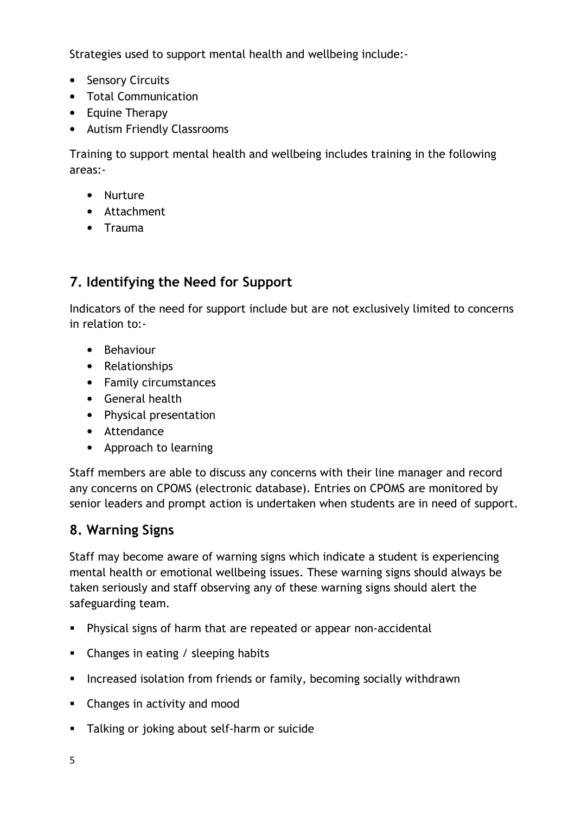Strategies used to support mental health and wellbeing include:-

- Sensory Circuits
- Total Communication
- Equine Therapy
- Autism Friendly Classrooms

Training to support mental health and wellbeing includes training in the following areas:-

- Nurture
- Attachment
- Trauma

# **7. Identifying the Need for Support**

Indicators of the need for support include but are not exclusively limited to concerns in relation to:-

- Behaviour
- Relationships
- Family circumstances
- General health
- Physical presentation
- Attendance
- Approach to learning

Staff members are able to discuss any concerns with their line manager and record any concerns on CPOMS (electronic database). Entries on CPOMS are monitored by senior leaders and prompt action is undertaken when students are in need of support.

# **8. Warning Signs**

Staff may become aware of warning signs which indicate a student is experiencing mental health or emotional wellbeing issues. These warning signs should always be taken seriously and staff observing any of these warning signs should alert the safeguarding team.

- Physical signs of harm that are repeated or appear non-accidental
- Changes in eating / sleeping habits
- **Increased isolation from friends or family, becoming socially withdrawn**
- Changes in activity and mood
- **Talking or joking about self-harm or suicide**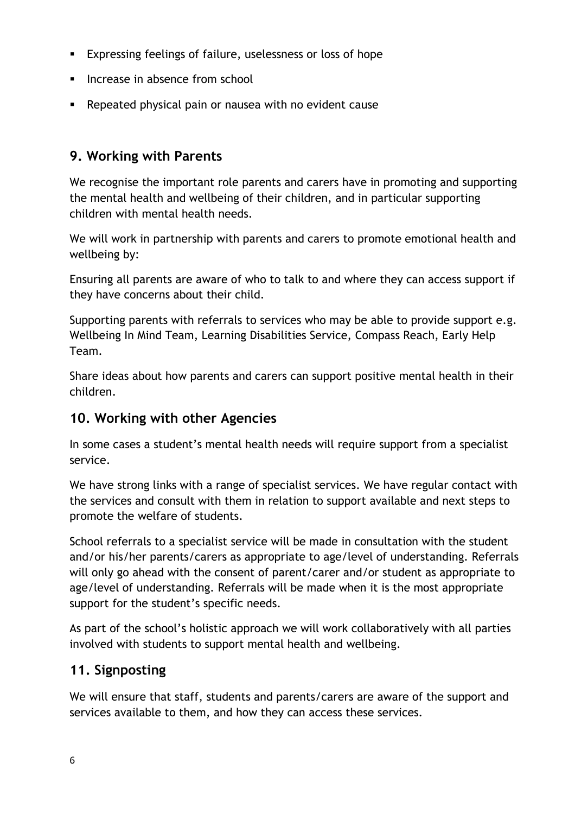- Expressing feelings of failure, uselessness or loss of hope
- Increase in absence from school
- Repeated physical pain or nausea with no evident cause

# **9. Working with Parents**

We recognise the important role parents and carers have in promoting and supporting the mental health and wellbeing of their children, and in particular supporting children with mental health needs.

We will work in partnership with parents and carers to promote emotional health and wellbeing by:

Ensuring all parents are aware of who to talk to and where they can access support if they have concerns about their child.

Supporting parents with referrals to services who may be able to provide support e.g. Wellbeing In Mind Team, Learning Disabilities Service, Compass Reach, Early Help Team.

Share ideas about how parents and carers can support positive mental health in their children.

# **10. Working with other Agencies**

In some cases a student's mental health needs will require support from a specialist service.

We have strong links with a range of specialist services. We have regular contact with the services and consult with them in relation to support available and next steps to promote the welfare of students.

School referrals to a specialist service will be made in consultation with the student and/or his/her parents/carers as appropriate to age/level of understanding. Referrals will only go ahead with the consent of parent/carer and/or student as appropriate to age/level of understanding. Referrals will be made when it is the most appropriate support for the student's specific needs.

As part of the school's holistic approach we will work collaboratively with all parties involved with students to support mental health and wellbeing.

# **11. Signposting**

We will ensure that staff, students and parents/carers are aware of the support and services available to them, and how they can access these services.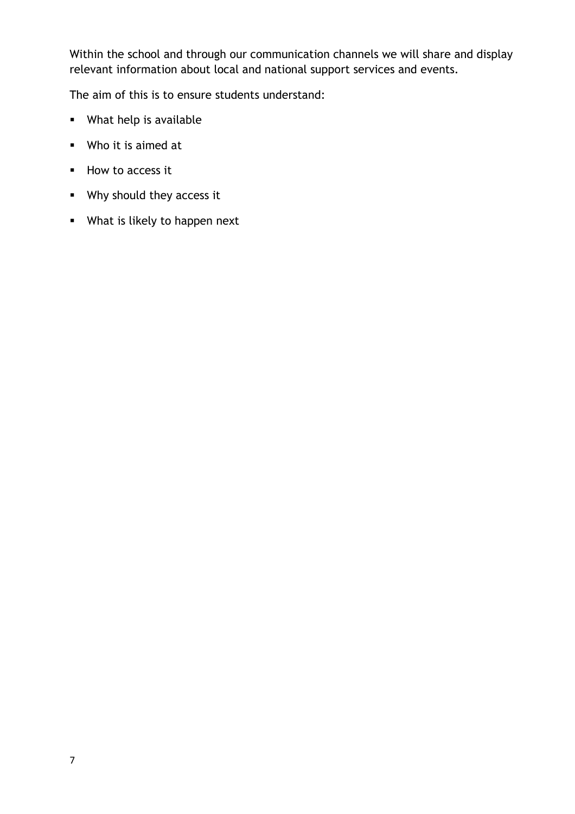Within the school and through our communication channels we will share and display relevant information about local and national support services and events.

The aim of this is to ensure students understand:

- What help is available
- Who it is aimed at
- How to access it
- **Why should they access it**
- **What is likely to happen next**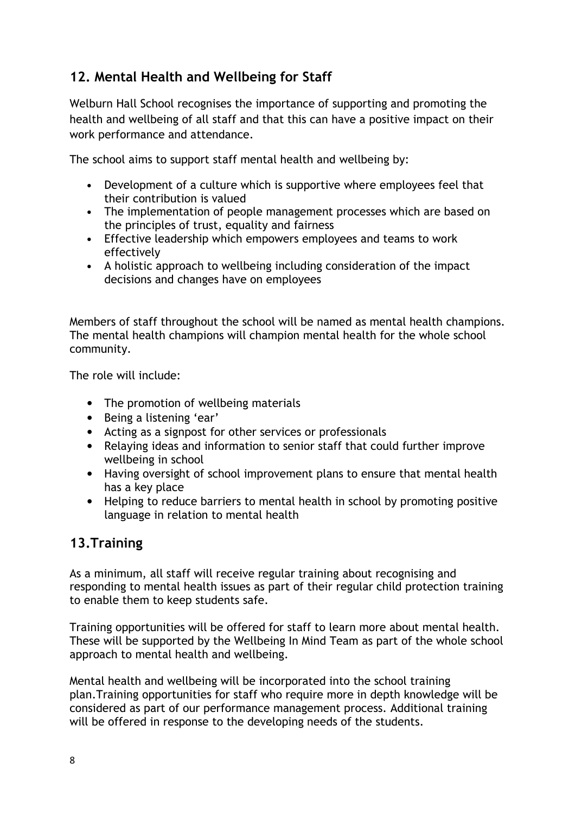# **12. Mental Health and Wellbeing for Staff**

Welburn Hall School recognises the importance of supporting and promoting the health and wellbeing of all staff and that this can have a positive impact on their work performance and attendance.

The school aims to support staff mental health and wellbeing by:

- Development of a culture which is supportive where employees feel that their contribution is valued
- The implementation of people management processes which are based on the principles of trust, equality and fairness
- Effective leadership which empowers employees and teams to work effectively
- A holistic approach to wellbeing including consideration of the impact decisions and changes have on employees

Members of staff throughout the school will be named as mental health champions. The mental health champions will champion mental health for the whole school community.

The role will include:

- The promotion of wellbeing materials
- Being a listening 'ear'
- Acting as a signpost for other services or professionals
- Relaying ideas and information to senior staff that could further improve wellbeing in school
- Having oversight of school improvement plans to ensure that mental health has a key place
- Helping to reduce barriers to mental health in school by promoting positive language in relation to mental health

#### **13.Training**

As a minimum, all staff will receive regular training about recognising and responding to mental health issues as part of their regular child protection training to enable them to keep students safe.

Training opportunities will be offered for staff to learn more about mental health. These will be supported by the Wellbeing In Mind Team as part of the whole school approach to mental health and wellbeing.

Mental health and wellbeing will be incorporated into the school training plan.Training opportunities for staff who require more in depth knowledge will be considered as part of our performance management process. Additional training will be offered in response to the developing needs of the students.